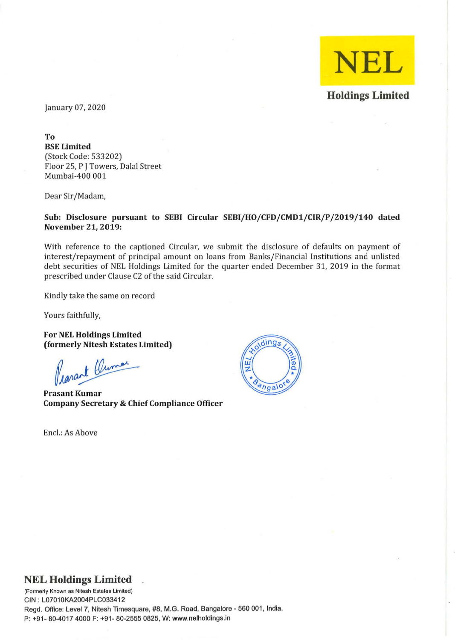

January 07,2020

To BSE Limited (Stock Code: 533202) Floor 25, P J Towers, Dalal Street Mumbai-400 001

Dear Sir/Madam,

Sub: Disclosure pursuant to SEBI Circular SEBI/HO/CFD/CMD1/CIR/P/2019/140 dated November 21, 2019:

With reference to the captioned Circular, we submit the disclosure of defaults on payment of interest/repayment of principal amount on loans from Banks/Financial Institutions and unlisted debt securities of NEL Holdings Limited for the quarter ended December 31,2019 in the format prescribed under Clause C2 of the said Circular.

Kindly take the same on record

Yours faithfully,

For NEL Holdings Limited (formerly Nitesh Estates Limited)

Prazant Clumar

Prasant Kumar Company Secretary & Chief Compliance Officer

Encl.: As Above



## **NEL Holdings Limited**

**(Formerly Known 8S Nitesh Estates limited)**  GIN: L07010KA2004PLG033412 Regd. Office: Level 7, Nitesh Timesquare, #8, M.G. Road, Bangalore - 560 001, India. P: +91- 80-4017 4000 F: +91- 80-2555 0825, W: www.nelholdings.in